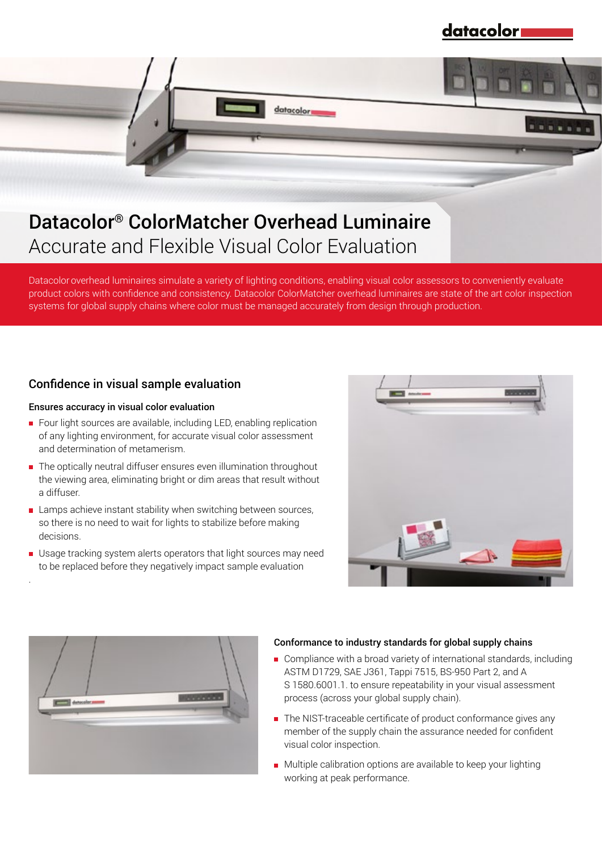datacolor



Accurate and Flexible Visual Color Evaluation

Datacolor overhead luminaires simulate a variety of lighting conditions, enabling visual color assessors to conveniently evaluate product colors with confidence and consistency. Datacolor ColorMatcher overhead luminaires are state of the art color inspection systems for global supply chains where color must be managed accurately from design through production.

## Confidence in visual sample evaluation

#### Ensures accuracy in visual color evaluation

.

- Four light sources are available, including LED, enabling replication of any lighting environment, for accurate visual color assessment and determination of metamerism.
- The optically neutral diffuser ensures even illumination throughout the viewing area, eliminating bright or dim areas that result without a diffuser.
- Lamps achieve instant stability when switching between sources, so there is no need to wait for lights to stabilize before making decisions.
- Usage tracking system alerts operators that light sources may need to be replaced before they negatively impact sample evaluation





#### Conformance to industry standards for global supply chains

- Compliance with a broad variety of international standards, including ASTM D1729, SAE J361, Tappi 7515, BS-950 Part 2, and A S 1580.6001.1. to ensure repeatability in your visual assessment process (across your global supply chain).
- The NIST-traceable certificate of product conformance gives any member of the supply chain the assurance needed for confident visual color inspection.
- **Multiple calibration options are available to keep your lighting** working at peak performance.